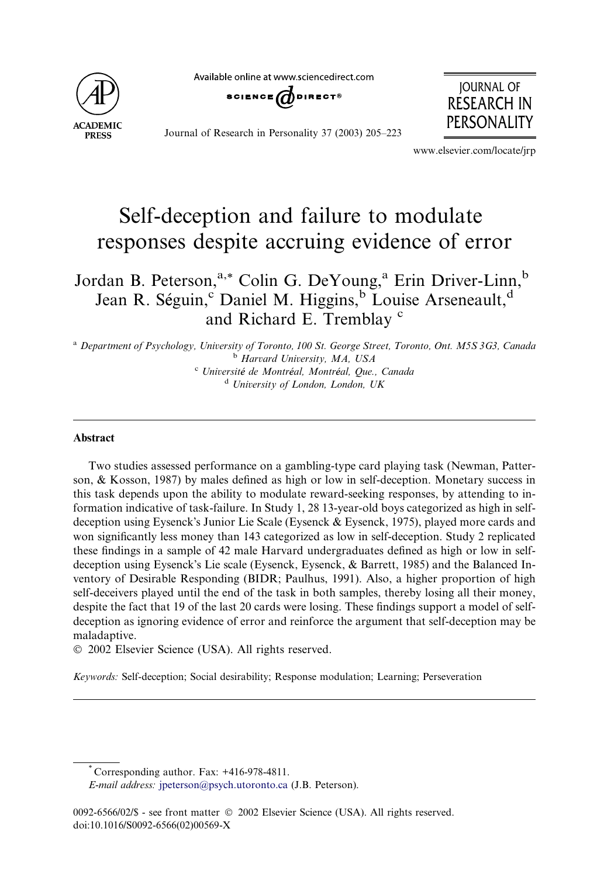Available online at www.sciencedirect.com



**SCIENCE**  $\bigcirc$  DIRECT<sup>®</sup>



Journal of Research in Personality 37 (2003) 205–223

www.elsevier.com/locate/jrp

# Self-deception and failure to modulate responses despite accruing evidence of error

## Jordan B. Peterson,<sup>a,\*</sup> Colin G. DeYoung,<sup>a</sup> Erin Driver-Linn,<sup>b</sup> Jean R. Séguin,<sup>c</sup> Daniel M. Higgins,<sup>b</sup> Louise Arseneault,<sup>d</sup> and Richard E. Tremblay<sup>c</sup>

<sup>a</sup> Department of Psychology, University of Toronto, 100 St. George Street, Toronto, Ont. M5S 3G3, Canada <sup>b</sup> Harvard University, MA, USA <sup>c</sup> Université de Montréal, Montréal, Que., Canada<br><sup>d</sup> University of London, London, UK

## Abstract

Two studies assessed performance on a gambling-type card playing task (Newman, Patterson, & Kosson, 1987) by males defined as high or low in self-deception. Monetary success in this task depends upon the ability to modulate reward-seeking responses, by attending to information indicative of task-failure. In Study 1, 28 13-year-old boys categorized as high in selfdeception using Eysenck's Junior Lie Scale (Eysenck  $\&$  Eysenck, 1975), played more cards and won significantly less money than 143 categorized as low in self-deception. Study 2 replicated these findings in a sample of 42 male Harvard undergraduates defined as high or low in selfdeception using Eysenck's Lie scale (Eysenck, Eysenck, & Barrett, 1985) and the Balanced Inventory of Desirable Responding (BIDR; Paulhus, 1991). Also, a higher proportion of high self-deceivers played until the end of the task in both samples, thereby losing all their money, despite the fact that 19 of the last 20 cards were losing. These findings support a model of selfdeception as ignoring evidence of error and reinforce the argument that self-deception may be maladaptive.

2002 Elsevier Science (USA). All rights reserved.

Keywords: Self-deception; Social desirability; Response modulation; Learning; Perseveration

\* Corresponding author. Fax: +416-978-4811.

E-mail address: [jpeterson@psych.utoronto.ca](mail to: jpeterson@psych.utoronto.ca) (J.B. Peterson).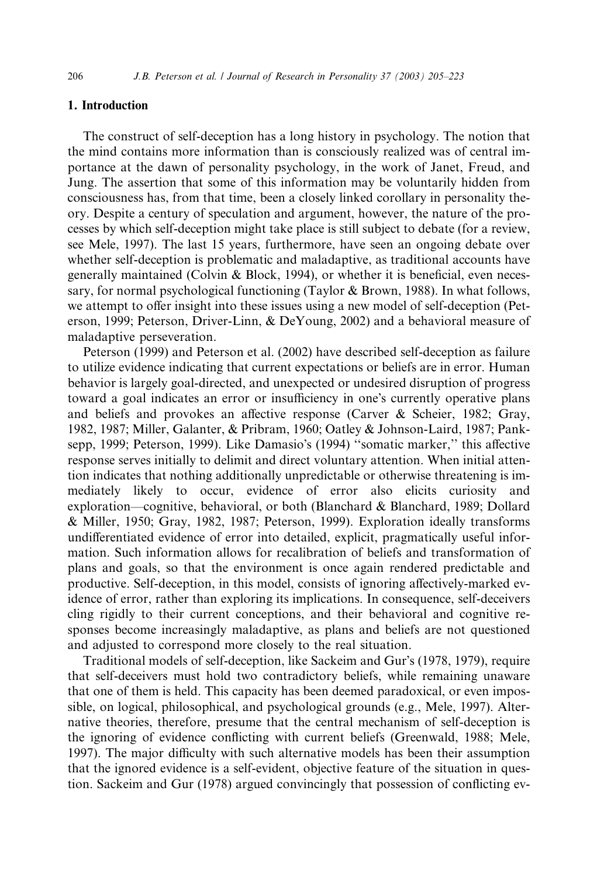## 1. Introduction

The construct of self-deception has a long history in psychology. The notion that the mind contains more information than is consciously realized was of central importance at the dawn of personality psychology, in the work of Janet, Freud, and Jung. The assertion that some of this information may be voluntarily hidden from consciousness has, from that time, been a closely linked corollary in personality theory. Despite a century of speculation and argument, however, the nature of the processes by which self-deception might take place is still subject to debate (for a review, see Mele, 1997). The last 15 years, furthermore, have seen an ongoing debate over whether self-deception is problematic and maladaptive, as traditional accounts have generally maintained (Colvin & Block, 1994), or whether it is beneficial, even necessary, for normal psychological functioning (Taylor & Brown, 1988). In what follows, we attempt to offer insight into these issues using a new model of self-deception (Peterson, 1999; Peterson, Driver-Linn, & DeYoung, 2002) and a behavioral measure of maladaptive perseveration.

Peterson (1999) and Peterson et al. (2002) have described self-deception as failure to utilize evidence indicating that current expectations or beliefs are in error. Human behavior is largely goal-directed, and unexpected or undesired disruption of progress toward a goal indicates an error or insufficiency in ones currently operative plans and beliefs and provokes an affective response (Carver & Scheier, 1982; Gray, 1982, 1987; Miller, Galanter, & Pribram, 1960; Oatley & Johnson-Laird, 1987; Panksepp, 1999; Peterson, 1999). Like Damasios (1994) ''somatic marker,'' this affective response serves initially to delimit and direct voluntary attention. When initial attention indicates that nothing additionally unpredictable or otherwise threatening is immediately likely to occur, evidence of error also elicits curiosity and exploration—cognitive, behavioral, or both (Blanchard & Blanchard, 1989; Dollard & Miller, 1950; Gray, 1982, 1987; Peterson, 1999). Exploration ideally transforms undifferentiated evidence of error into detailed, explicit, pragmatically useful information. Such information allows for recalibration of beliefs and transformation of plans and goals, so that the environment is once again rendered predictable and productive. Self-deception, in this model, consists of ignoring affectively-marked evidence of error, rather than exploring its implications. In consequence, self-deceivers cling rigidly to their current conceptions, and their behavioral and cognitive responses become increasingly maladaptive, as plans and beliefs are not questioned and adjusted to correspond more closely to the real situation.

Traditional models of self-deception, like Sackeim and Gur's (1978, 1979), require that self-deceivers must hold two contradictory beliefs, while remaining unaware that one of them is held. This capacity has been deemed paradoxical, or even impossible, on logical, philosophical, and psychological grounds (e.g., Mele, 1997). Alternative theories, therefore, presume that the central mechanism of self-deception is the ignoring of evidence conflicting with current beliefs (Greenwald, 1988; Mele, 1997). The major difficulty with such alternative models has been their assumption that the ignored evidence is a self-evident, objective feature of the situation in question. Sackeim and Gur (1978) argued convincingly that possession of conflicting ev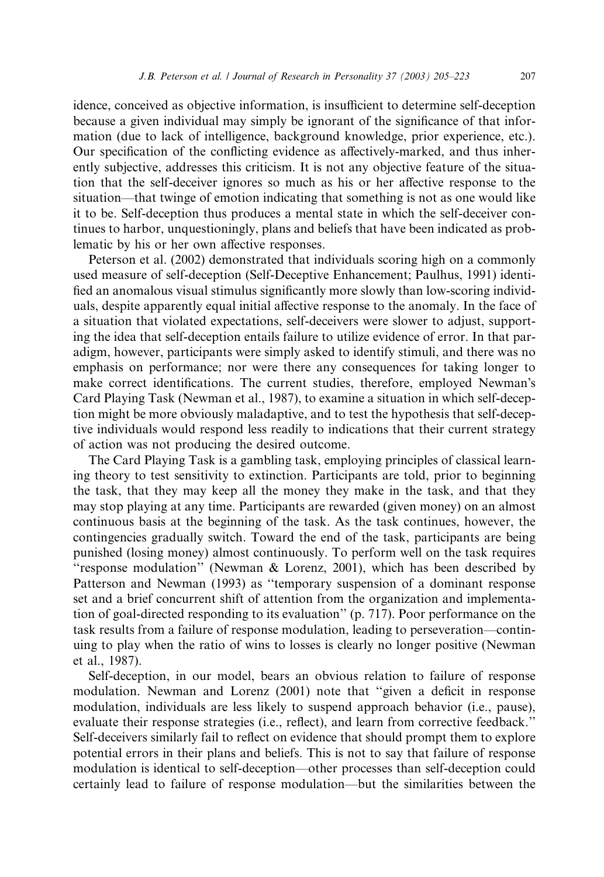idence, conceived as objective information, is insufficient to determine self-deception because a given individual may simply be ignorant of the significance of that information (due to lack of intelligence, background knowledge, prior experience, etc.). Our specification of the conflicting evidence as affectively-marked, and thus inherently subjective, addresses this criticism. It is not any objective feature of the situation that the self-deceiver ignores so much as his or her affective response to the situation—that twinge of emotion indicating that something is not as one would like it to be. Self-deception thus produces a mental state in which the self-deceiver continues to harbor, unquestioningly, plans and beliefs that have been indicated as problematic by his or her own affective responses.

Peterson et al. (2002) demonstrated that individuals scoring high on a commonly used measure of self-deception (Self-Deceptive Enhancement; Paulhus, 1991) identified an anomalous visual stimulus significantly more slowly than low-scoring individuals, despite apparently equal initial affective response to the anomaly. In the face of a situation that violated expectations, self-deceivers were slower to adjust, supporting the idea that self-deception entails failure to utilize evidence of error. In that paradigm, however, participants were simply asked to identify stimuli, and there was no emphasis on performance; nor were there any consequences for taking longer to make correct identifications. The current studies, therefore, employed Newman's Card Playing Task (Newman et al., 1987), to examine a situation in which self-deception might be more obviously maladaptive, and to test the hypothesis that self-deceptive individuals would respond less readily to indications that their current strategy of action was not producing the desired outcome.

The Card Playing Task is a gambling task, employing principles of classical learning theory to test sensitivity to extinction. Participants are told, prior to beginning the task, that they may keep all the money they make in the task, and that they may stop playing at any time. Participants are rewarded (given money) on an almost continuous basis at the beginning of the task. As the task continues, however, the contingencies gradually switch. Toward the end of the task, participants are being punished (losing money) almost continuously. To perform well on the task requires "response modulation" (Newman & Lorenz, 2001), which has been described by Patterson and Newman (1993) as ''temporary suspension of a dominant response set and a brief concurrent shift of attention from the organization and implementation of goal-directed responding to its evaluation'' (p. 717). Poor performance on the task results from a failure of response modulation, leading to perseveration—continuing to play when the ratio of wins to losses is clearly no longer positive (Newman et al., 1987).

Self-deception, in our model, bears an obvious relation to failure of response modulation. Newman and Lorenz (2001) note that ''given a deficit in response modulation, individuals are less likely to suspend approach behavior (i.e., pause), evaluate their response strategies (i.e., reflect), and learn from corrective feedback.'' Self-deceivers similarly fail to reflect on evidence that should prompt them to explore potential errors in their plans and beliefs. This is not to say that failure of response modulation is identical to self-deception—other processes than self-deception could certainly lead to failure of response modulation—but the similarities between the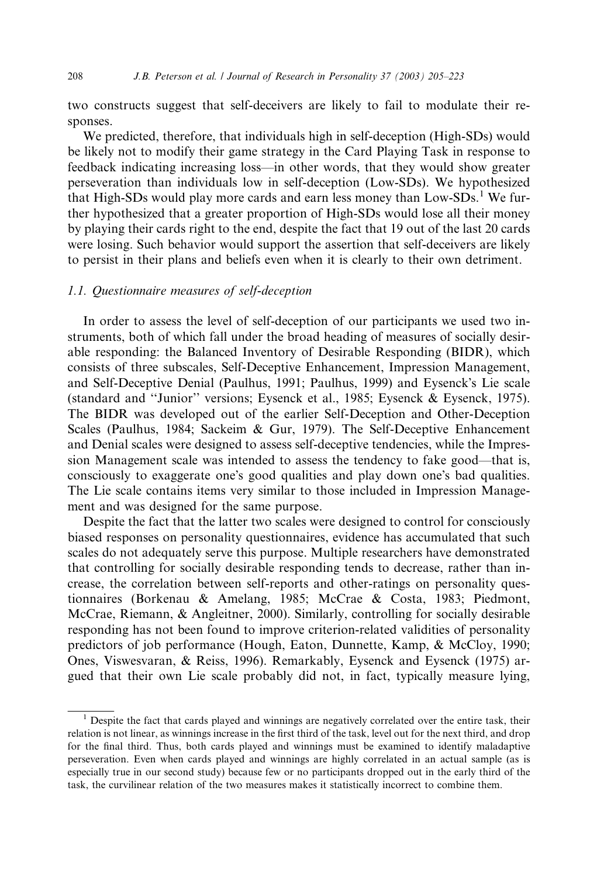two constructs suggest that self-deceivers are likely to fail to modulate their responses.

We predicted, therefore, that individuals high in self-deception (High-SDs) would be likely not to modify their game strategy in the Card Playing Task in response to feedback indicating increasing loss—in other words, that they would show greater perseveration than individuals low in self-deception (Low-SDs). We hypothesized that High-SDs would play more cards and earn less money than Low-SDs.<sup>1</sup> We further hypothesized that a greater proportion of High-SDs would lose all their money by playing their cards right to the end, despite the fact that 19 out of the last 20 cards were losing. Such behavior would support the assertion that self-deceivers are likely to persist in their plans and beliefs even when it is clearly to their own detriment.

## 1.1. Questionnaire measures of self-deception

In order to assess the level of self-deception of our participants we used two instruments, both of which fall under the broad heading of measures of socially desirable responding: the Balanced Inventory of Desirable Responding (BIDR), which consists of three subscales, Self-Deceptive Enhancement, Impression Management, and Self-Deceptive Denial (Paulhus, 1991; Paulhus, 1999) and Eysenck's Lie scale (standard and ''Junior'' versions; Eysenck et al., 1985; Eysenck & Eysenck, 1975). The BIDR was developed out of the earlier Self-Deception and Other-Deception Scales (Paulhus, 1984; Sackeim & Gur, 1979). The Self-Deceptive Enhancement and Denial scales were designed to assess self-deceptive tendencies, while the Impression Management scale was intended to assess the tendency to fake good—that is, consciously to exaggerate one's good qualities and play down one's bad qualities. The Lie scale contains items very similar to those included in Impression Management and was designed for the same purpose.

Despite the fact that the latter two scales were designed to control for consciously biased responses on personality questionnaires, evidence has accumulated that such scales do not adequately serve this purpose. Multiple researchers have demonstrated that controlling for socially desirable responding tends to decrease, rather than increase, the correlation between self-reports and other-ratings on personality questionnaires (Borkenau & Amelang, 1985; McCrae & Costa, 1983; Piedmont, McCrae, Riemann, & Angleitner, 2000). Similarly, controlling for socially desirable responding has not been found to improve criterion-related validities of personality predictors of job performance (Hough, Eaton, Dunnette, Kamp, & McCloy, 1990; Ones, Viswesvaran, & Reiss, 1996). Remarkably, Eysenck and Eysenck (1975) argued that their own Lie scale probably did not, in fact, typically measure lying,

Despite the fact that cards played and winnings are negatively correlated over the entire task, their relation is not linear, as winnings increase in the first third of the task, level out for the next third, and drop for the final third. Thus, both cards played and winnings must be examined to identify maladaptive perseveration. Even when cards played and winnings are highly correlated in an actual sample (as is especially true in our second study) because few or no participants dropped out in the early third of the task, the curvilinear relation of the two measures makes it statistically incorrect to combine them.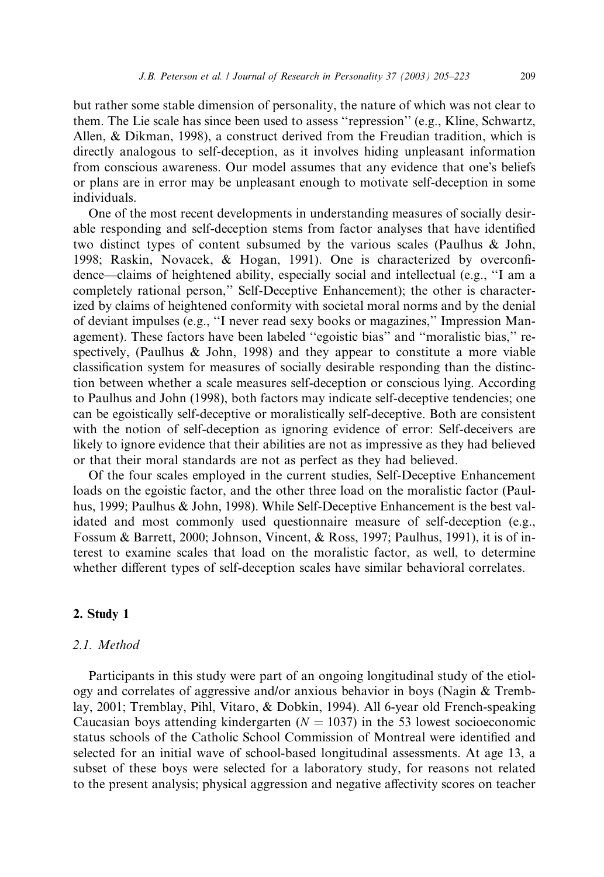but rather some stable dimension of personality, the nature of which was not clear to them. The Lie scale has since been used to assess ''repression'' (e.g., Kline, Schwartz, Allen, & Dikman, 1998), a construct derived from the Freudian tradition, which is directly analogous to self-deception, as it involves hiding unpleasant information from conscious awareness. Our model assumes that any evidence that one's beliefs or plans are in error may be unpleasant enough to motivate self-deception in some individuals.

One of the most recent developments in understanding measures of socially desirable responding and self-deception stems from factor analyses that have identified two distinct types of content subsumed by the various scales (Paulhus & John, 1998; Raskin, Novacek, & Hogan, 1991). One is characterized by overconfidence—claims of heightened ability, especially social and intellectual (e.g., ''I am a completely rational person,'' Self-Deceptive Enhancement); the other is characterized by claims of heightened conformity with societal moral norms and by the denial of deviant impulses (e.g., ''I never read sexy books or magazines,'' Impression Management). These factors have been labeled ''egoistic bias'' and ''moralistic bias,'' respectively, (Paulhus & John, 1998) and they appear to constitute a more viable classification system for measures of socially desirable responding than the distinction between whether a scale measures self-deception or conscious lying. According to Paulhus and John (1998), both factors may indicate self-deceptive tendencies; one can be egoistically self-deceptive or moralistically self-deceptive. Both are consistent with the notion of self-deception as ignoring evidence of error: Self-deceivers are likely to ignore evidence that their abilities are not as impressive as they had believed or that their moral standards are not as perfect as they had believed.

Of the four scales employed in the current studies, Self-Deceptive Enhancement loads on the egoistic factor, and the other three load on the moralistic factor (Paulhus, 1999; Paulhus & John, 1998). While Self-Deceptive Enhancement is the best validated and most commonly used questionnaire measure of self-deception (e.g., Fossum & Barrett, 2000; Johnson, Vincent, & Ross, 1997; Paulhus, 1991), it is of interest to examine scales that load on the moralistic factor, as well, to determine whether different types of self-deception scales have similar behavioral correlates.

## 2. Study 1

## 2.1. Method

Participants in this study were part of an ongoing longitudinal study of the etiology and correlates of aggressive and/or anxious behavior in boys (Nagin & Tremblay, 2001; Tremblay, Pihl, Vitaro, & Dobkin, 1994). All 6-year old French-speaking Caucasian boys attending kindergarten ( $N = 1037$ ) in the 53 lowest socioeconomic status schools of the Catholic School Commission of Montreal were identified and selected for an initial wave of school-based longitudinal assessments. At age 13, a subset of these boys were selected for a laboratory study, for reasons not related to the present analysis; physical aggression and negative affectivity scores on teacher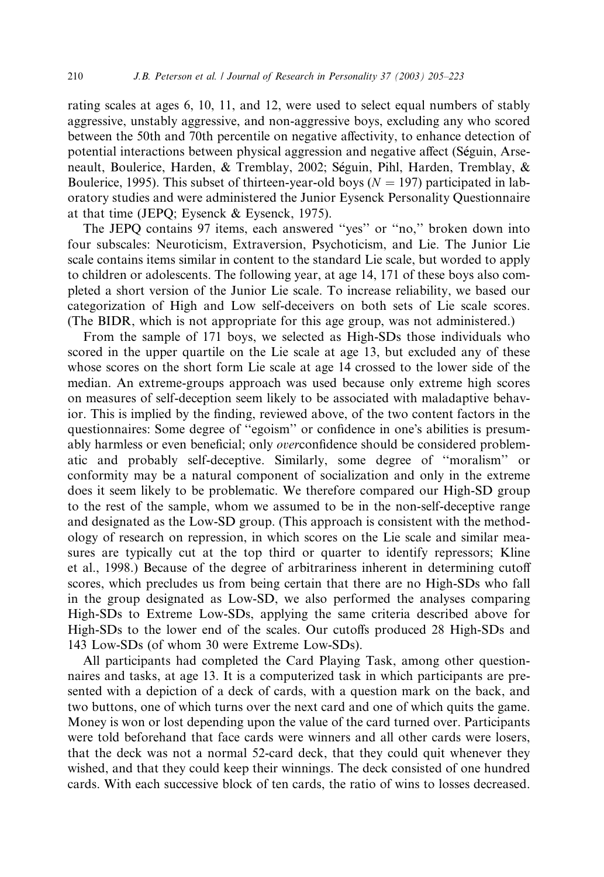rating scales at ages 6, 10, 11, and 12, were used to select equal numbers of stably aggressive, unstably aggressive, and non-aggressive boys, excluding any who scored between the 50th and 70th percentile on negative affectivity, to enhance detection of potential interactions between physical aggression and negative affect (Seguin, Arseneault, Boulerice, Harden, & Tremblay, 2002; Seguin, Pihl, Harden, Tremblay, & Boulerice, 1995). This subset of thirteen-year-old boys ( $N = 197$ ) participated in laboratory studies and were administered the Junior Eysenck Personality Questionnaire at that time (JEPQ; Eysenck & Eysenck, 1975).

The JEPQ contains 97 items, each answered ''yes'' or ''no,'' broken down into four subscales: Neuroticism, Extraversion, Psychoticism, and Lie. The Junior Lie scale contains items similar in content to the standard Lie scale, but worded to apply to children or adolescents. The following year, at age 14, 171 of these boys also completed a short version of the Junior Lie scale. To increase reliability, we based our categorization of High and Low self-deceivers on both sets of Lie scale scores. (The BIDR, which is not appropriate for this age group, was not administered.)

From the sample of 171 boys, we selected as High-SDs those individuals who scored in the upper quartile on the Lie scale at age 13, but excluded any of these whose scores on the short form Lie scale at age 14 crossed to the lower side of the median. An extreme-groups approach was used because only extreme high scores on measures of self-deception seem likely to be associated with maladaptive behavior. This is implied by the finding, reviewed above, of the two content factors in the questionnaires: Some degree of "egoism" or confidence in one's abilities is presumably harmless or even beneficial; only overconfidence should be considered problematic and probably self-deceptive. Similarly, some degree of ''moralism'' or conformity may be a natural component of socialization and only in the extreme does it seem likely to be problematic. We therefore compared our High-SD group to the rest of the sample, whom we assumed to be in the non-self-deceptive range and designated as the Low-SD group. (This approach is consistent with the methodology of research on repression, in which scores on the Lie scale and similar measures are typically cut at the top third or quarter to identify repressors; Kline et al., 1998.) Because of the degree of arbitrariness inherent in determining cutoff scores, which precludes us from being certain that there are no High-SDs who fall in the group designated as Low-SD, we also performed the analyses comparing High-SDs to Extreme Low-SDs, applying the same criteria described above for High-SDs to the lower end of the scales. Our cutoffs produced 28 High-SDs and 143 Low-SDs (of whom 30 were Extreme Low-SDs).

All participants had completed the Card Playing Task, among other questionnaires and tasks, at age 13. It is a computerized task in which participants are presented with a depiction of a deck of cards, with a question mark on the back, and two buttons, one of which turns over the next card and one of which quits the game. Money is won or lost depending upon the value of the card turned over. Participants were told beforehand that face cards were winners and all other cards were losers, that the deck was not a normal 52-card deck, that they could quit whenever they wished, and that they could keep their winnings. The deck consisted of one hundred cards. With each successive block of ten cards, the ratio of wins to losses decreased.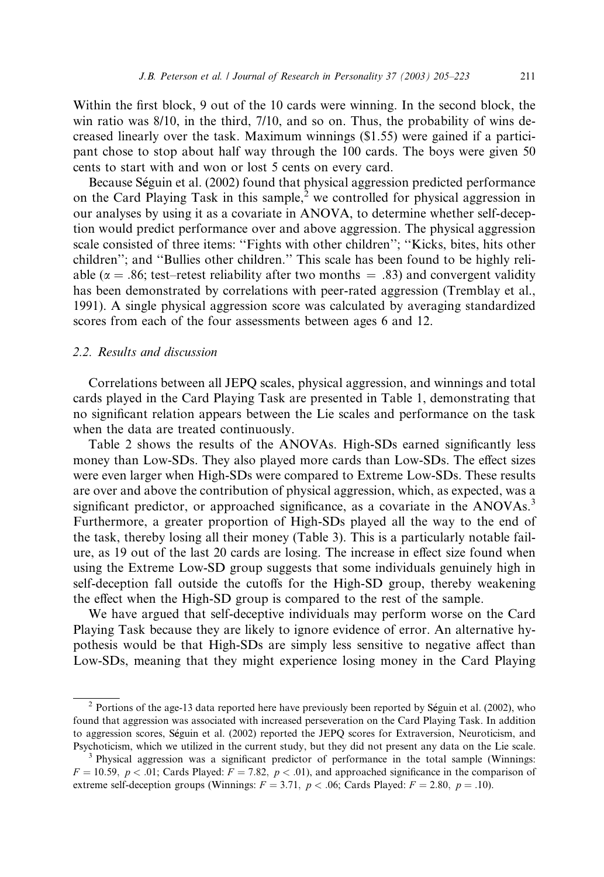Within the first block, 9 out of the 10 cards were winning. In the second block, the win ratio was 8/10, in the third, 7/10, and so on. Thus, the probability of wins decreased linearly over the task. Maximum winnings (\$1.55) were gained if a participant chose to stop about half way through the 100 cards. The boys were given 50 cents to start with and won or lost 5 cents on every card.

Because Séguin et al. (2002) found that physical aggression predicted performance on the Card Playing Task in this sample,<sup>2</sup> we controlled for physical aggression in our analyses by using it as a covariate in ANOVA, to determine whether self-deception would predict performance over and above aggression. The physical aggression scale consisted of three items: "Fights with other children"; "Kicks, bites, hits other children''; and ''Bullies other children.'' This scale has been found to be highly reliable ( $\alpha = .86$ ; test–retest reliability after two months = .83) and convergent validity has been demonstrated by correlations with peer-rated aggression (Tremblay et al., 1991). A single physical aggression score was calculated by averaging standardized scores from each of the four assessments between ages 6 and 12.

## 2.2. Results and discussion

Correlations between all JEPQ scales, physical aggression, and winnings and total cards played in the Card Playing Task are presented in Table 1, demonstrating that no significant relation appears between the Lie scales and performance on the task when the data are treated continuously.

Table 2 shows the results of the ANOVAs. High-SDs earned significantly less money than Low-SDs. They also played more cards than Low-SDs. The effect sizes were even larger when High-SDs were compared to Extreme Low-SDs. These results are over and above the contribution of physical aggression, which, as expected, was a significant predictor, or approached significance, as a covariate in the  $ANOVAs.<sup>3</sup>$ Furthermore, a greater proportion of High-SDs played all the way to the end of the task, thereby losing all their money (Table 3). This is a particularly notable failure, as 19 out of the last 20 cards are losing. The increase in effect size found when using the Extreme Low-SD group suggests that some individuals genuinely high in self-deception fall outside the cutoffs for the High-SD group, thereby weakening the effect when the High-SD group is compared to the rest of the sample.

We have argued that self-deceptive individuals may perform worse on the Card Playing Task because they are likely to ignore evidence of error. An alternative hypothesis would be that High-SDs are simply less sensitive to negative affect than Low-SDs, meaning that they might experience losing money in the Card Playing

<sup>&</sup>lt;sup>2</sup> Portions of the age-13 data reported here have previously been reported by Séguin et al. (2002), who found that aggression was associated with increased perseveration on the Card Playing Task. In addition to aggression scores, Seguin et al. (2002) reported the JEPQ scores for Extraversion, Neuroticism, and Psychoticism, which we utilized in the current study, but they did not present any data on the Lie scale. <sup>3</sup> Physical aggression was a significant predictor of performance in the total sample (Winnings:

 $F = 10.59$ ,  $p < .01$ ; Cards Played:  $F = 7.82$ ,  $p < .01$ ), and approached significance in the comparison of extreme self-deception groups (Winnings:  $F = 3.71$ ,  $p < .06$ ; Cards Played:  $F = 2.80$ ,  $p = .10$ ).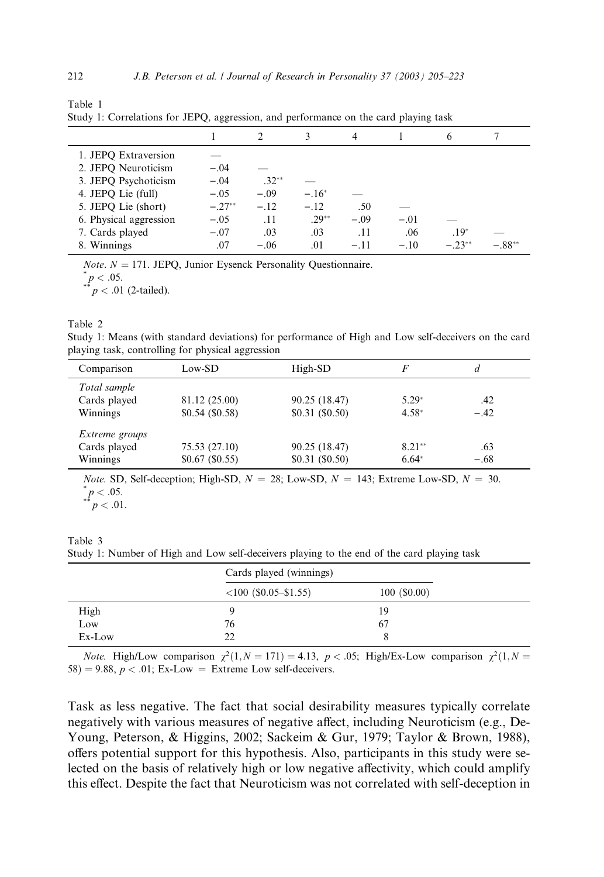|                                             |          |         | 3       | $\overline{4}$ |        | 6        |          |  |
|---------------------------------------------|----------|---------|---------|----------------|--------|----------|----------|--|
| 1. JEPQ Extraversion<br>2. JEPQ Neuroticism | $-.04$   |         |         |                |        |          |          |  |
| 3. JEPQ Psychoticism                        | $-.04$   | $.32**$ |         |                |        |          |          |  |
| 4. JEPQ Lie (full)                          | $-.05$   | $-.09$  | $-.16*$ |                |        |          |          |  |
| 5. JEPQ Lie (short)                         | $-.27**$ | $-.12$  | $-.12$  | .50            |        |          |          |  |
| 6. Physical aggression                      | $-.05$   | .11     | $.29**$ | $-.09$         | $-.01$ |          |          |  |
| 7. Cards played                             | $-.07$   | .03     | .03     | .11            | .06    | $.19*$   |          |  |
| 8. Winnings                                 | .07      | $-.06$  | .01     | $-.11$         | $-.10$ | $-.23**$ | $-.88**$ |  |
|                                             |          |         |         |                |        |          |          |  |

|  | Study 1: Correlations for JEPQ, aggression, and performance on the card playing task |  |  |  |  |  |
|--|--------------------------------------------------------------------------------------|--|--|--|--|--|
|  |                                                                                      |  |  |  |  |  |

*Note.*  $N = 171$ . JEPQ, Junior Eysenck Personality Questionnaire.  $p < 0.05$ .

 $p < .01$  (2-tailed).

#### Table 2

Table 1

Study 1: Means (with standard deviations) for performance of High and Low self-deceivers on the card playing task, controlling for physical aggression

| Comparison                                        | Low-SD                              | High-SD                            | F                   | d             |  |
|---------------------------------------------------|-------------------------------------|------------------------------------|---------------------|---------------|--|
| Total sample<br>Cards played<br>Winnings          | 81.12 (25.00)<br>$$0.54 \ ($0.58)$  | 90.25 (18.47)<br>$$0.31 \ ($0.50)$ | $5.29*$<br>$4.58*$  | .42<br>$-.42$ |  |
| <i>Extreme groups</i><br>Cards played<br>Winnings | 75.53 (27.10)<br>$$0.67 \; ($0.55)$ | 90.25 (18.47)<br>$$0.31 \ ($0.50)$ | $8.21**$<br>$6.64*$ | .63<br>$-.68$ |  |

*Note.* SD, Self-deception; High-SD,  $N = 28$ ; Low-SD,  $N = 143$ ; Extreme Low-SD,  $N = 30$ .<br>
\*\* p < .05. \*\* p < .01.

Table 3 Study 1: Number of High and Low self-deceivers playing to the end of the card playing task

|        | Cards played (winnings)               |                |  |
|--------|---------------------------------------|----------------|--|
|        | $\langle 100 (80.05 - $1.55) \rangle$ | $100($ \$0.00) |  |
| High   |                                       | 19             |  |
| Low    | 76                                    | 67             |  |
| Ex-Low | 22                                    |                |  |

*Note.* High/Low comparison  $\chi^2(1, N = 171) = 4.13$ ,  $p < .05$ ; High/Ex-Low comparison  $\chi^2(1, N = 171)$ 58) = 9.88,  $p < .01$ ; Ex-Low = Extreme Low self-deceivers.

Task as less negative. The fact that social desirability measures typically correlate negatively with various measures of negative affect, including Neuroticism (e.g., De-Young, Peterson, & Higgins, 2002; Sackeim & Gur, 1979; Taylor & Brown, 1988), offers potential support for this hypothesis. Also, participants in this study were selected on the basis of relatively high or low negative affectivity, which could amplify this effect. Despite the fact that Neuroticism was not correlated with self-deception in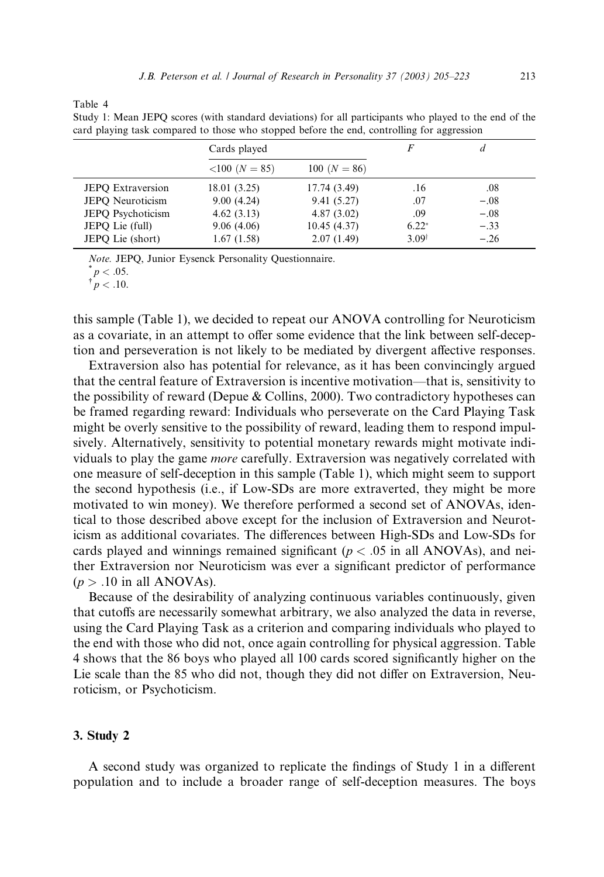Table 4

Study 1: Mean JEPQ scores (with standard deviations) for all participants who played to the end of the card playing task compared to those who stopped before the end, controlling for aggression

|                                                                                      | Cards played                                          |                                                         | F                            | d                                 |
|--------------------------------------------------------------------------------------|-------------------------------------------------------|---------------------------------------------------------|------------------------------|-----------------------------------|
|                                                                                      | $<100 (N = 85)$                                       | $100 (N = 86)$                                          |                              |                                   |
| <b>JEPO</b> Extraversion<br>JEPO Neuroticism<br>JEPQ Psychoticism<br>JEPQ Lie (full) | 18.01(3.25)<br>9.00(4.24)<br>4.62(3.13)<br>9.06(4.06) | 17.74 (3.49)<br>9.41(5.27)<br>4.87(3.02)<br>10.45(4.37) | .16<br>.07<br>.09<br>$6.22*$ | .08<br>$-.08$<br>$-.08$<br>$-.33$ |
| JEPQ Lie (short)                                                                     | 1.67(1.58)                                            | 2.07(1.49)                                              | $3.09^{\dagger}$             | $-.26$                            |

Note. JEPQ, Junior Eysenck Personality Questionnaire.

 $p < .05$ .

 $\bar{p}$  < .10.

this sample (Table 1), we decided to repeat our ANOVA controlling for Neuroticism as a covariate, in an attempt to offer some evidence that the link between self-deception and perseveration is not likely to be mediated by divergent affective responses.

Extraversion also has potential for relevance, as it has been convincingly argued that the central feature of Extraversion is incentive motivation—that is, sensitivity to the possibility of reward (Depue  $&$  Collins, 2000). Two contradictory hypotheses can be framed regarding reward: Individuals who perseverate on the Card Playing Task might be overly sensitive to the possibility of reward, leading them to respond impulsively. Alternatively, sensitivity to potential monetary rewards might motivate individuals to play the game more carefully. Extraversion was negatively correlated with one measure of self-deception in this sample (Table 1), which might seem to support the second hypothesis (i.e., if Low-SDs are more extraverted, they might be more motivated to win money). We therefore performed a second set of ANOVAs, identical to those described above except for the inclusion of Extraversion and Neuroticism as additional covariates. The differences between High-SDs and Low-SDs for cards played and winnings remained significant ( $p < .05$  in all ANOVAs), and neither Extraversion nor Neuroticism was ever a significant predictor of performance  $(p > .10$  in all ANOVAs).

Because of the desirability of analyzing continuous variables continuously, given that cutoffs are necessarily somewhat arbitrary, we also analyzed the data in reverse, using the Card Playing Task as a criterion and comparing individuals who played to the end with those who did not, once again controlling for physical aggression. Table 4 shows that the 86 boys who played all 100 cards scored significantly higher on the Lie scale than the 85 who did not, though they did not differ on Extraversion, Neuroticism, or Psychoticism.

### 3. Study 2

A second study was organized to replicate the findings of Study 1 in a different population and to include a broader range of self-deception measures. The boys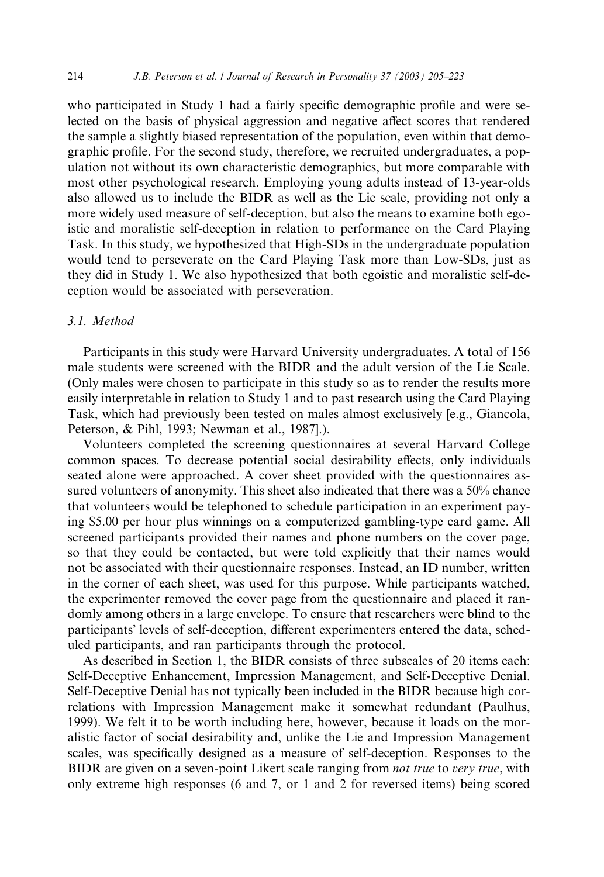who participated in Study 1 had a fairly specific demographic profile and were selected on the basis of physical aggression and negative affect scores that rendered the sample a slightly biased representation of the population, even within that demographic profile. For the second study, therefore, we recruited undergraduates, a population not without its own characteristic demographics, but more comparable with most other psychological research. Employing young adults instead of 13-year-olds also allowed us to include the BIDR as well as the Lie scale, providing not only a more widely used measure of self-deception, but also the means to examine both egoistic and moralistic self-deception in relation to performance on the Card Playing Task. In this study, we hypothesized that High-SDs in the undergraduate population would tend to perseverate on the Card Playing Task more than Low-SDs, just as they did in Study 1. We also hypothesized that both egoistic and moralistic self-deception would be associated with perseveration.

## 3.1. Method

Participants in this study were Harvard University undergraduates. A total of 156 male students were screened with the BIDR and the adult version of the Lie Scale. (Only males were chosen to participate in this study so as to render the results more easily interpretable in relation to Study 1 and to past research using the Card Playing Task, which had previously been tested on males almost exclusively [e.g., Giancola, Peterson, & Pihl, 1993; Newman et al., 1987].).

Volunteers completed the screening questionnaires at several Harvard College common spaces. To decrease potential social desirability effects, only individuals seated alone were approached. A cover sheet provided with the questionnaires assured volunteers of anonymity. This sheet also indicated that there was a 50% chance that volunteers would be telephoned to schedule participation in an experiment paying \$5.00 per hour plus winnings on a computerized gambling-type card game. All screened participants provided their names and phone numbers on the cover page, so that they could be contacted, but were told explicitly that their names would not be associated with their questionnaire responses. Instead, an ID number, written in the corner of each sheet, was used for this purpose. While participants watched, the experimenter removed the cover page from the questionnaire and placed it randomly among others in a large envelope. To ensure that researchers were blind to the participants levels of self-deception, different experimenters entered the data, scheduled participants, and ran participants through the protocol.

As described in Section 1, the BIDR consists of three subscales of 20 items each: Self-Deceptive Enhancement, Impression Management, and Self-Deceptive Denial. Self-Deceptive Denial has not typically been included in the BIDR because high correlations with Impression Management make it somewhat redundant (Paulhus, 1999). We felt it to be worth including here, however, because it loads on the moralistic factor of social desirability and, unlike the Lie and Impression Management scales, was specifically designed as a measure of self-deception. Responses to the BIDR are given on a seven-point Likert scale ranging from *not true* to very true, with only extreme high responses (6 and 7, or 1 and 2 for reversed items) being scored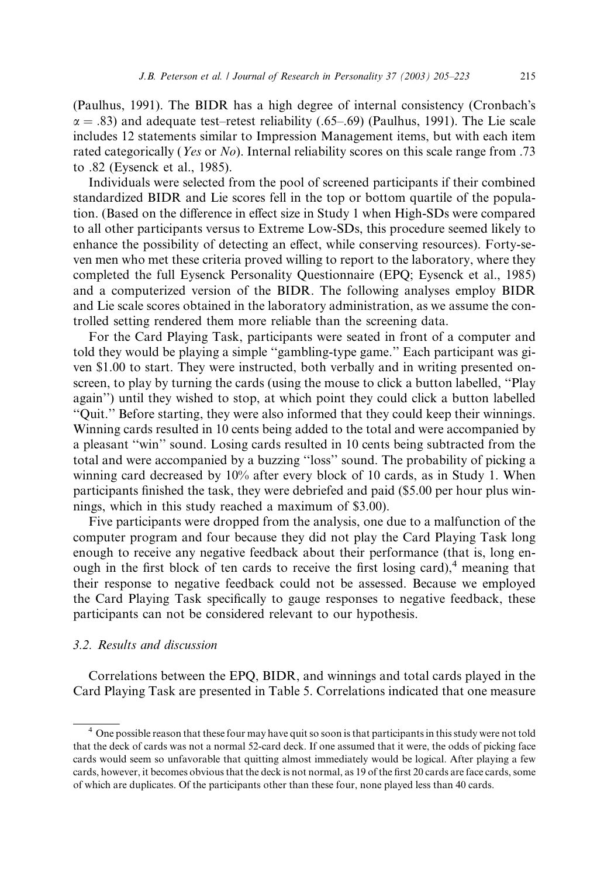(Paulhus, 1991). The BIDR has a high degree of internal consistency (Cronbach's  $\alpha = .83$ ) and adequate test–retest reliability (.65–.69) (Paulhus, 1991). The Lie scale includes 12 statements similar to Impression Management items, but with each item rated categorically (Yes or No). Internal reliability scores on this scale range from .73 to .82 (Eysenck et al., 1985).

Individuals were selected from the pool of screened participants if their combined standardized BIDR and Lie scores fell in the top or bottom quartile of the population. (Based on the difference in effect size in Study 1 when High-SDs were compared to all other participants versus to Extreme Low-SDs, this procedure seemed likely to enhance the possibility of detecting an effect, while conserving resources). Forty-seven men who met these criteria proved willing to report to the laboratory, where they completed the full Eysenck Personality Questionnaire (EPQ; Eysenck et al., 1985) and a computerized version of the BIDR. The following analyses employ BIDR and Lie scale scores obtained in the laboratory administration, as we assume the controlled setting rendered them more reliable than the screening data.

For the Card Playing Task, participants were seated in front of a computer and told they would be playing a simple ''gambling-type game.'' Each participant was given \$1.00 to start. They were instructed, both verbally and in writing presented onscreen, to play by turning the cards (using the mouse to click a button labelled, ''Play again'') until they wished to stop, at which point they could click a button labelled ''Quit.'' Before starting, they were also informed that they could keep their winnings. Winning cards resulted in 10 cents being added to the total and were accompanied by a pleasant ''win'' sound. Losing cards resulted in 10 cents being subtracted from the total and were accompanied by a buzzing ''loss'' sound. The probability of picking a winning card decreased by 10% after every block of 10 cards, as in Study 1. When participants finished the task, they were debriefed and paid (\$5.00 per hour plus winnings, which in this study reached a maximum of \$3.00).

Five participants were dropped from the analysis, one due to a malfunction of the computer program and four because they did not play the Card Playing Task long enough to receive any negative feedback about their performance (that is, long enough in the first block of ten cards to receive the first losing card), $4$  meaning that their response to negative feedback could not be assessed. Because we employed the Card Playing Task specifically to gauge responses to negative feedback, these participants can not be considered relevant to our hypothesis.

## 3.2. Results and discussion

Correlations between the EPQ, BIDR, and winnings and total cards played in the Card Playing Task are presented in Table 5. Correlations indicated that one measure

<sup>&</sup>lt;sup>4</sup> One possible reason that these four may have quit so soon is that participants in this study were not told that the deck of cards was not a normal 52-card deck. If one assumed that it were, the odds of picking face cards would seem so unfavorable that quitting almost immediately would be logical. After playing a few cards, however, it becomes obvious that the deck is not normal, as 19 of the first 20 cards are face cards, some of which are duplicates. Of the participants other than these four, none played less than 40 cards.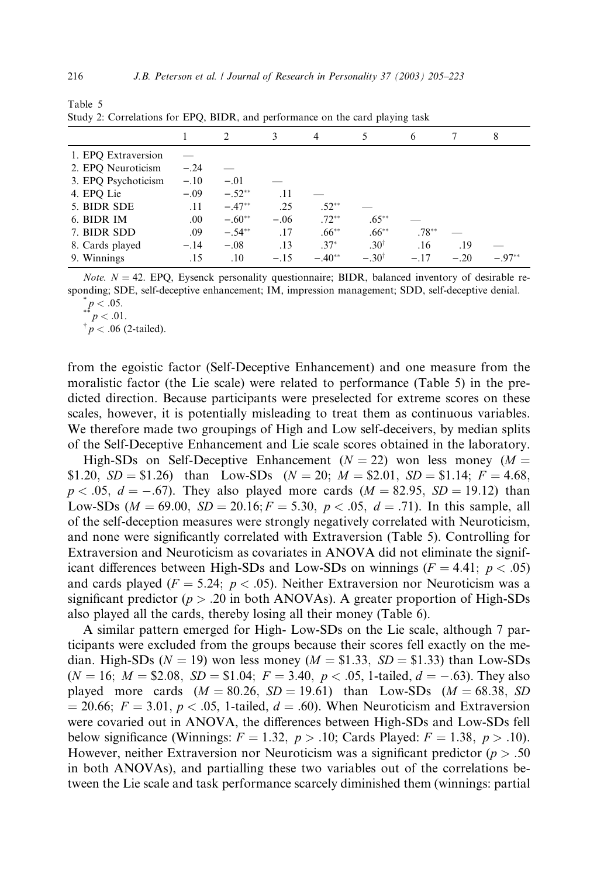|                     | . .    |                |        |                |                  |         |        |          |
|---------------------|--------|----------------|--------|----------------|------------------|---------|--------|----------|
|                     |        | $\mathfrak{D}$ | 3      | $\overline{4}$ |                  | 6       |        | 8        |
| 1. EPO Extraversion |        |                |        |                |                  |         |        |          |
| 2. EPO Neuroticism  | $-.24$ |                |        |                |                  |         |        |          |
| 3. EPQ Psychoticism | $-.10$ | $-.01$         |        |                |                  |         |        |          |
| 4. EPO Lie          | $-.09$ | $-.52**$       | .11    |                |                  |         |        |          |
| 5. BIDR SDE         | .11    | $-.47**$       | .25    | $.52**$        |                  |         |        |          |
| 6. BIDR IM          | .00.   | $-.60**$       | $-.06$ | $.72**$        | $.65**$          |         |        |          |
| 7. BIDR SDD         | .09    | $-.54**$       | .17    | $.66***$       | $.66**$          | $.78**$ |        |          |
| 8. Cards played     | $-.14$ | $-.08$         | .13    | $.37*$         | $.30^{\dagger}$  | .16     | .19    |          |
| 9. Winnings         | .15    | .10            | $-.15$ | $-.40**$       | $-.30^{\dagger}$ | $-.17$  | $-.20$ | $-.97**$ |

| -------- |  |  |  |                                                                               |  |  |
|----------|--|--|--|-------------------------------------------------------------------------------|--|--|
|          |  |  |  | Study 2: Correlations for EPQ, BIDR, and performance on the card playing task |  |  |

*Note.*  $N = 42$ . EPQ, Eysenck personality questionnaire; BIDR, balanced inventory of desirable responding; SDE, self-deceptive enhancement; IM, impression management; SDD, self-deceptive denial.  ${}^{*}p < .05$ .<br> ${}^{*}p < .01$ .

 $\frac{1}{p}$  < .06 (2-tailed).

from the egoistic factor (Self-Deceptive Enhancement) and one measure from the moralistic factor (the Lie scale) were related to performance (Table 5) in the predicted direction. Because participants were preselected for extreme scores on these scales, however, it is potentially misleading to treat them as continuous variables. We therefore made two groupings of High and Low self-deceivers, by median splits of the Self-Deceptive Enhancement and Lie scale scores obtained in the laboratory.

High-SDs on Self-Deceptive Enhancement ( $N = 22$ ) won less money ( $M =$ \$1.20;  $SD = $1.26$ ) than Low-SDs ( $N = 20$ ;  $M = $2.01$ ,  $SD = $1.14$ ;  $F = 4.68$ ,  $p < .05$ ,  $d = -.67$ ). They also played more cards ( $M = 82.95$ ,  $SD = 19.12$ ) than Low-SDs ( $M = 69.00$ ,  $SD = 20.16$ ;  $F = 5.30$ ,  $p < .05$ ,  $d = .71$ ). In this sample, all of the self-deception measures were strongly negatively correlated with Neuroticism, and none were significantly correlated with Extraversion (Table 5). Controlling for Extraversion and Neuroticism as covariates in ANOVA did not eliminate the significant differences between High-SDs and Low-SDs on winnings ( $F = 4.41$ ;  $p < .05$ ) and cards played ( $F = 5.24$ ;  $p < .05$ ). Neither Extraversion nor Neuroticism was a significant predictor ( $p > .20$  in both ANOVAs). A greater proportion of High-SDs also played all the cards, thereby losing all their money (Table 6).

A similar pattern emerged for High- Low-SDs on the Lie scale, although 7 participants were excluded from the groups because their scores fell exactly on the median. High-SDs ( $N = 19$ ) won less money ( $M = $1.33$ ,  $SD = $1.33$ ) than Low-SDs  $(N = 16; M = $2.08, SD = $1.04; F = 3.40, p < .05, 1$ -tailed,  $d = -.63$ ). They also played more cards  $(M = 80.26, SD = 19.61)$  than Low-SDs  $(M = 68.38, SD$  $= 20.66$ ;  $F = 3.01$ ,  $p < .05$ , 1-tailed,  $d = .60$ ). When Neuroticism and Extraversion were covaried out in ANOVA, the differences between High-SDs and Low-SDs fell below significance (Winnings:  $F = 1.32$ ,  $p > .10$ ; Cards Played:  $F = 1.38$ ,  $p > .10$ ). However, neither Extraversion nor Neuroticism was a significant predictor ( $p > .50$ ) in both ANOVAs), and partialling these two variables out of the correlations between the Lie scale and task performance scarcely diminished them (winnings: partial

Table 5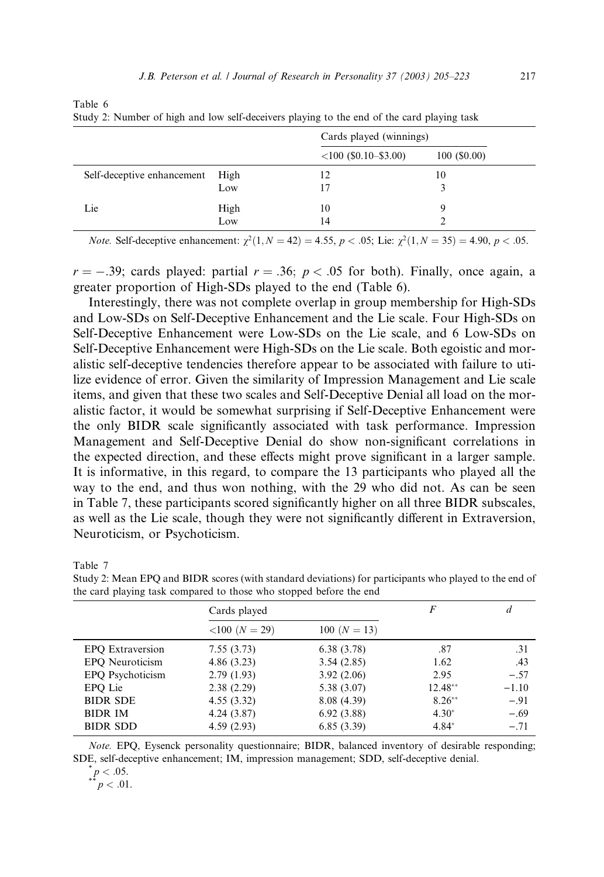|                            |             | Cards played (winnings) |             |  |
|----------------------------|-------------|-------------------------|-------------|--|
|                            |             | $<$ 100 (\$0.10–\$3.00) | 100(\$0.00) |  |
| Self-deceptive enhancement | High<br>Low | 12<br>17                | 10<br>3     |  |
| Lie                        | High<br>Low | 10<br>14                | Q           |  |

Table 6

| Study 2: Number of high and low self-deceivers playing to the end of the card playing task |  |  |
|--------------------------------------------------------------------------------------------|--|--|
|--------------------------------------------------------------------------------------------|--|--|

*Note.* Self-deceptive enhancement:  $\chi^2(1, N = 42) = 4.55$ ,  $p < .05$ ; Lie:  $\chi^2(1, N = 35) = 4.90$ ,  $p < .05$ .

 $r = -.39$ ; cards played: partial  $r = .36$ ;  $p < .05$  for both). Finally, once again, a greater proportion of High-SDs played to the end (Table 6).

Interestingly, there was not complete overlap in group membership for High-SDs and Low-SDs on Self-Deceptive Enhancement and the Lie scale. Four High-SDs on Self-Deceptive Enhancement were Low-SDs on the Lie scale, and 6 Low-SDs on Self-Deceptive Enhancement were High-SDs on the Lie scale. Both egoistic and moralistic self-deceptive tendencies therefore appear to be associated with failure to utilize evidence of error. Given the similarity of Impression Management and Lie scale items, and given that these two scales and Self-Deceptive Denial all load on the moralistic factor, it would be somewhat surprising if Self-Deceptive Enhancement were the only BIDR scale significantly associated with task performance. Impression Management and Self-Deceptive Denial do show non-significant correlations in the expected direction, and these effects might prove significant in a larger sample. It is informative, in this regard, to compare the 13 participants who played all the way to the end, and thus won nothing, with the 29 who did not. As can be seen in Table 7, these participants scored significantly higher on all three BIDR subscales, as well as the Lie scale, though they were not significantly different in Extraversion, Neuroticism, or Psychoticism.

| the card playing task compared to those who stopped before the chu |                                |                |           |         |
|--------------------------------------------------------------------|--------------------------------|----------------|-----------|---------|
|                                                                    | Cards played                   | F              | d         |         |
|                                                                    | $\langle 100 \ (N=29) \rangle$ | $100 (N = 13)$ |           |         |
| <b>EPO</b> Extraversion                                            | 7.55(3.73)                     | 6.38(3.78)     | .87       | .31     |
| EPO Neuroticism                                                    | 4.86(3.23)                     | 3.54(2.85)     | 1.62      | .43     |
| EPO Psychoticism                                                   | 2.79(1.93)                     | 3.92(2.06)     | 2.95      | $-.57$  |
| EPO Lie                                                            | 2.38(2.29)                     | 5.38(3.07)     | $12.48**$ | $-1.10$ |
| <b>BIDR SDE</b>                                                    | 4.55(3.32)                     | 8.08(4.39)     | $8.26**$  | $-.91$  |
| <b>BIDR IM</b>                                                     | 4.24(3.87)                     | 6.92(3.88)     | $4.30*$   | $-.69$  |
| <b>BIDR SDD</b>                                                    | 4.59(2.93)                     | 6.85(3.39)     | $4.84*$   | $-.71$  |

Study 2: Mean EPQ and BIDR scores (with standard deviations) for participants who played to the end of the card playing task compared to those who stopped before the end

Note. EPQ, Eysenck personality questionnaire; BIDR, balanced inventory of desirable responding; SDE, self-deceptive enhancement; IM, impression management; SDD, self-deceptive denial.  $\binom{p}{p}$  < .05.

$$
p < .05
$$

Table 7

$$
^{**}p<.01.
$$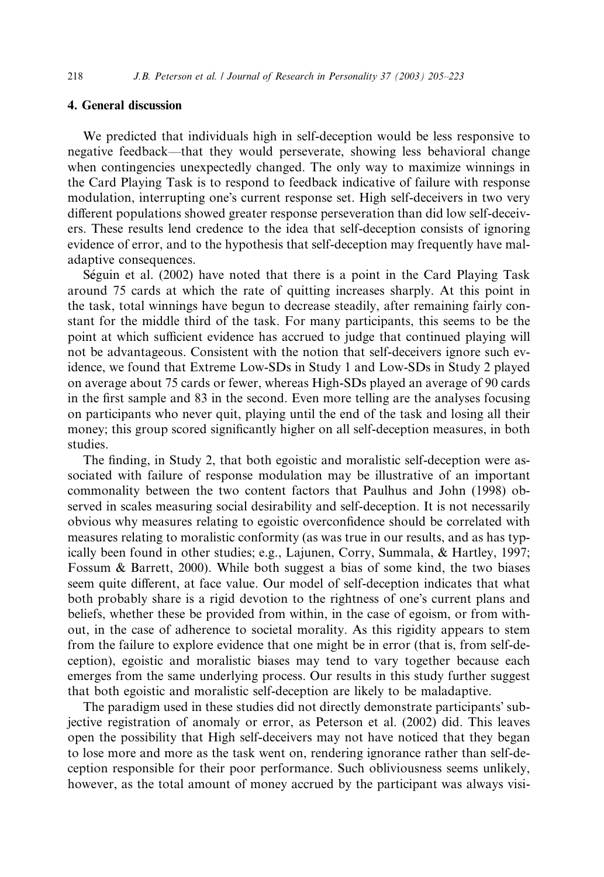## 4. General discussion

We predicted that individuals high in self-deception would be less responsive to negative feedback—that they would perseverate, showing less behavioral change when contingencies unexpectedly changed. The only way to maximize winnings in the Card Playing Task is to respond to feedback indicative of failure with response modulation, interrupting one's current response set. High self-deceivers in two very different populations showed greater response perseveration than did low self-deceivers. These results lend credence to the idea that self-deception consists of ignoring evidence of error, and to the hypothesis that self-deception may frequently have maladaptive consequences.

Seguin et al. (2002) have noted that there is a point in the Card Playing Task around 75 cards at which the rate of quitting increases sharply. At this point in the task, total winnings have begun to decrease steadily, after remaining fairly constant for the middle third of the task. For many participants, this seems to be the point at which sufficient evidence has accrued to judge that continued playing will not be advantageous. Consistent with the notion that self-deceivers ignore such evidence, we found that Extreme Low-SDs in Study 1 and Low-SDs in Study 2 played on average about 75 cards or fewer, whereas High-SDs played an average of 90 cards in the first sample and 83 in the second. Even more telling are the analyses focusing on participants who never quit, playing until the end of the task and losing all their money; this group scored significantly higher on all self-deception measures, in both studies.

The finding, in Study 2, that both egoistic and moralistic self-deception were associated with failure of response modulation may be illustrative of an important commonality between the two content factors that Paulhus and John (1998) observed in scales measuring social desirability and self-deception. It is not necessarily obvious why measures relating to egoistic overconfidence should be correlated with measures relating to moralistic conformity (as was true in our results, and as has typically been found in other studies; e.g., Lajunen, Corry, Summala, & Hartley, 1997; Fossum & Barrett, 2000). While both suggest a bias of some kind, the two biases seem quite different, at face value. Our model of self-deception indicates that what both probably share is a rigid devotion to the rightness of one's current plans and beliefs, whether these be provided from within, in the case of egoism, or from without, in the case of adherence to societal morality. As this rigidity appears to stem from the failure to explore evidence that one might be in error (that is, from self-deception), egoistic and moralistic biases may tend to vary together because each emerges from the same underlying process. Our results in this study further suggest that both egoistic and moralistic self-deception are likely to be maladaptive.

The paradigm used in these studies did not directly demonstrate participants' subjective registration of anomaly or error, as Peterson et al. (2002) did. This leaves open the possibility that High self-deceivers may not have noticed that they began to lose more and more as the task went on, rendering ignorance rather than self-deception responsible for their poor performance. Such obliviousness seems unlikely, however, as the total amount of money accrued by the participant was always visi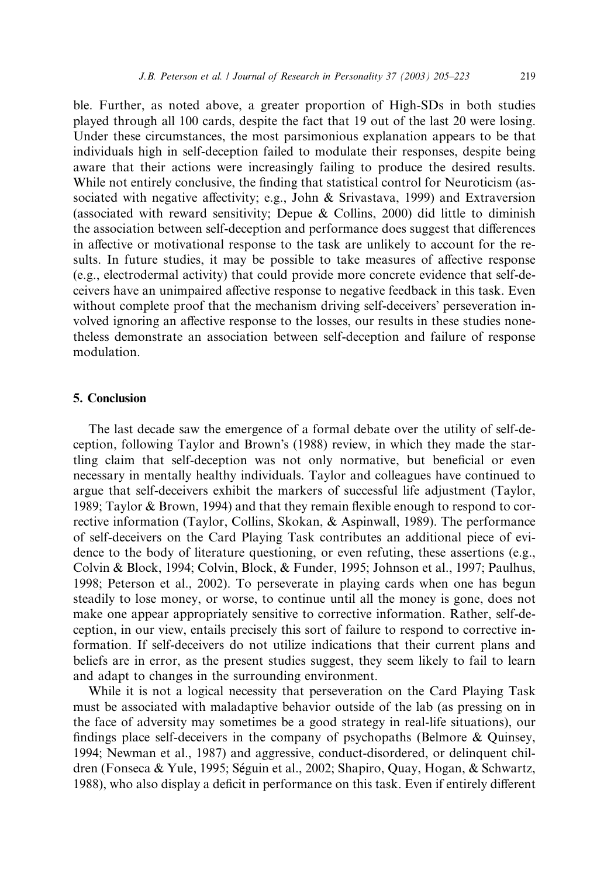ble. Further, as noted above, a greater proportion of High-SDs in both studies played through all 100 cards, despite the fact that 19 out of the last 20 were losing. Under these circumstances, the most parsimonious explanation appears to be that individuals high in self-deception failed to modulate their responses, despite being aware that their actions were increasingly failing to produce the desired results. While not entirely conclusive, the finding that statistical control for Neuroticism (associated with negative affectivity; e.g., John & Srivastava, 1999) and Extraversion (associated with reward sensitivity; Depue & Collins, 2000) did little to diminish the association between self-deception and performance does suggest that differences in affective or motivational response to the task are unlikely to account for the results. In future studies, it may be possible to take measures of affective response (e.g., electrodermal activity) that could provide more concrete evidence that self-deceivers have an unimpaired affective response to negative feedback in this task. Even without complete proof that the mechanism driving self-deceivers' perseveration involved ignoring an affective response to the losses, our results in these studies nonetheless demonstrate an association between self-deception and failure of response modulation.

## 5. Conclusion

The last decade saw the emergence of a formal debate over the utility of self-deception, following Taylor and Browns (1988) review, in which they made the startling claim that self-deception was not only normative, but beneficial or even necessary in mentally healthy individuals. Taylor and colleagues have continued to argue that self-deceivers exhibit the markers of successful life adjustment (Taylor, 1989; Taylor & Brown, 1994) and that they remain flexible enough to respond to corrective information (Taylor, Collins, Skokan, & Aspinwall, 1989). The performance of self-deceivers on the Card Playing Task contributes an additional piece of evidence to the body of literature questioning, or even refuting, these assertions (e.g., Colvin & Block, 1994; Colvin, Block, & Funder, 1995; Johnson et al., 1997; Paulhus, 1998; Peterson et al., 2002). To perseverate in playing cards when one has begun steadily to lose money, or worse, to continue until all the money is gone, does not make one appear appropriately sensitive to corrective information. Rather, self-deception, in our view, entails precisely this sort of failure to respond to corrective information. If self-deceivers do not utilize indications that their current plans and beliefs are in error, as the present studies suggest, they seem likely to fail to learn and adapt to changes in the surrounding environment.

While it is not a logical necessity that perseveration on the Card Playing Task must be associated with maladaptive behavior outside of the lab (as pressing on in the face of adversity may sometimes be a good strategy in real-life situations), our findings place self-deceivers in the company of psychopaths (Belmore & Quinsey, 1994; Newman et al., 1987) and aggressive, conduct-disordered, or delinquent children (Fonseca & Yule, 1995; Seguin et al., 2002; Shapiro, Quay, Hogan, & Schwartz, 1988), who also display a deficit in performance on this task. Even if entirely different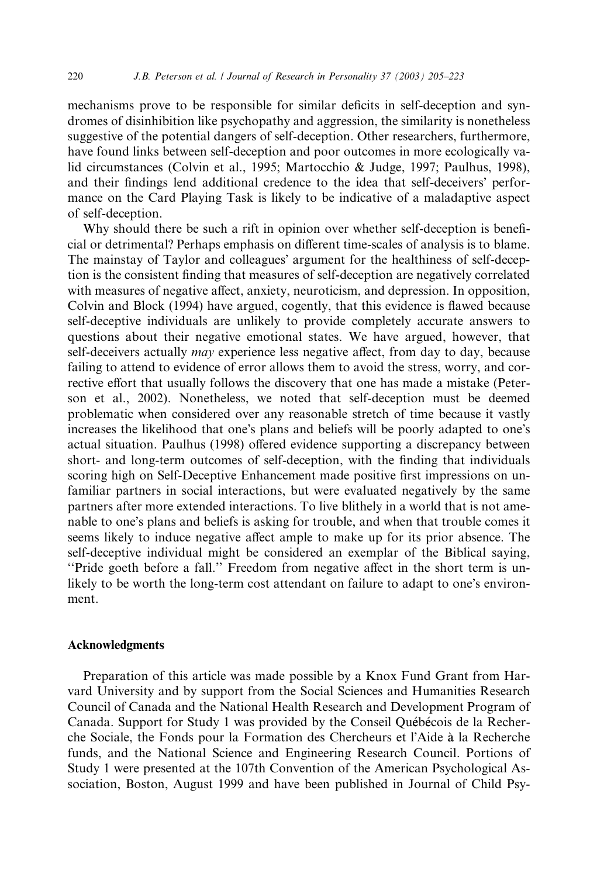mechanisms prove to be responsible for similar deficits in self-deception and syndromes of disinhibition like psychopathy and aggression, the similarity is nonetheless suggestive of the potential dangers of self-deception. Other researchers, furthermore, have found links between self-deception and poor outcomes in more ecologically valid circumstances (Colvin et al., 1995; Martocchio & Judge, 1997; Paulhus, 1998), and their findings lend additional credence to the idea that self-deceivers' performance on the Card Playing Task is likely to be indicative of a maladaptive aspect of self-deception.

Why should there be such a rift in opinion over whether self-deception is beneficial or detrimental? Perhaps emphasis on different time-scales of analysis is to blame. The mainstay of Taylor and colleagues' argument for the healthiness of self-deception is the consistent finding that measures of self-deception are negatively correlated with measures of negative affect, anxiety, neuroticism, and depression. In opposition, Colvin and Block (1994) have argued, cogently, that this evidence is flawed because self-deceptive individuals are unlikely to provide completely accurate answers to questions about their negative emotional states. We have argued, however, that self-deceivers actually may experience less negative affect, from day to day, because failing to attend to evidence of error allows them to avoid the stress, worry, and corrective effort that usually follows the discovery that one has made a mistake (Peterson et al., 2002). Nonetheless, we noted that self-deception must be deemed problematic when considered over any reasonable stretch of time because it vastly increases the likelihood that one's plans and beliefs will be poorly adapted to one's actual situation. Paulhus (1998) offered evidence supporting a discrepancy between short- and long-term outcomes of self-deception, with the finding that individuals scoring high on Self-Deceptive Enhancement made positive first impressions on unfamiliar partners in social interactions, but were evaluated negatively by the same partners after more extended interactions. To live blithely in a world that is not amenable to one's plans and beliefs is asking for trouble, and when that trouble comes it seems likely to induce negative affect ample to make up for its prior absence. The self-deceptive individual might be considered an exemplar of the Biblical saying, ''Pride goeth before a fall.'' Freedom from negative affect in the short term is unlikely to be worth the long-term cost attendant on failure to adapt to one's environment.

#### Acknowledgments

Preparation of this article was made possible by a Knox Fund Grant from Harvard University and by support from the Social Sciences and Humanities Research Council of Canada and the National Health Research and Development Program of Canada. Support for Study 1 was provided by the Conseil Québécois de la Recherche Sociale, the Fonds pour la Formation des Chercheurs et lAide a la Recherche funds, and the National Science and Engineering Research Council. Portions of Study 1 were presented at the 107th Convention of the American Psychological Association, Boston, August 1999 and have been published in Journal of Child Psy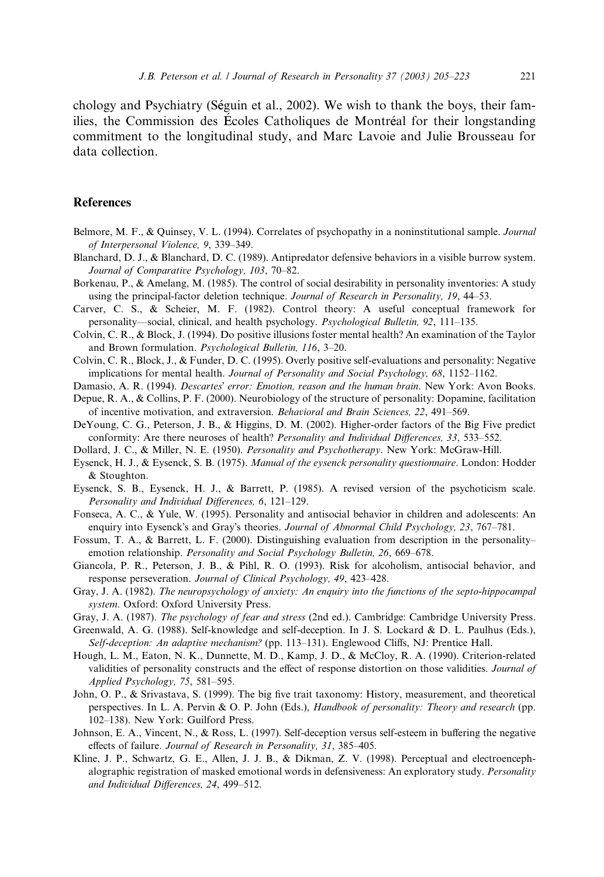chology and Psychiatry (Seguin et al., 2002). We wish to thank the boys, their families, the Commission des Écoles Catholiques de Montréal for their longstanding commitment to the longitudinal study, and Marc Lavoie and Julie Brousseau for data collection.

## References

- Belmore, M. F., & Quinsey, V. L. (1994). Correlates of psychopathy in a noninstitutional sample. Journal of Interpersonal Violence, 9, 339–349.
- Blanchard, D. J., & Blanchard, D. C. (1989). Antipredator defensive behaviors in a visible burrow system. Journal of Comparative Psychology, 103, 70–82.
- Borkenau, P., & Amelang, M. (1985). The control of social desirability in personality inventories: A study using the principal-factor deletion technique. Journal of Research in Personality, 19, 44-53.

Carver, C. S., & Scheier, M. F. (1982). Control theory: A useful conceptual framework for personality—social, clinical, and health psychology. Psychological Bulletin, 92, 111–135.

Colvin, C. R., & Block, J. (1994). Do positive illusions foster mental health? An examination of the Taylor and Brown formulation. Psychological Bulletin, 116, 3–20.

Colvin, C. R., Block, J., & Funder, D. C. (1995). Overly positive self-evaluations and personality: Negative implications for mental health. Journal of Personality and Social Psychology, 68, 1152-1162.

Damasio, A. R. (1994). *Descartes' error: Emotion, reason and the human brain*. New York: Avon Books.

- Depue, R. A., & Collins, P. F. (2000). Neurobiology of the structure of personality: Dopamine, facilitation of incentive motivation, and extraversion. Behavioral and Brain Sciences, 22, 491–569.
- DeYoung, C. G., Peterson, J. B., & Higgins, D. M. (2002). Higher-order factors of the Big Five predict conformity: Are there neuroses of health? Personality and Individual Differences, 33, 533-552.
- Dollard, J. C., & Miller, N. E. (1950). Personality and Psychotherapy. New York: McGraw-Hill.
- Eysenck, H. J., & Eysenck, S. B. (1975). Manual of the eysenck personality questionnaire. London: Hodder & Stoughton.
- Eysenck, S. B., Eysenck, H. J., & Barrett, P. (1985). A revised version of the psychoticism scale. Personality and Individual Differences, 6, 121–129.
- Fonseca, A. C., & Yule, W. (1995). Personality and antisocial behavior in children and adolescents: An enquiry into Eysenck's and Gray's theories. Journal of Abnormal Child Psychology, 23, 767-781.
- Fossum, T. A., & Barrett, L. F. (2000). Distinguishing evaluation from description in the personality– emotion relationship. Personality and Social Psychology Bulletin, 26, 669–678.
- Giancola, P. R., Peterson, J. B., & Pihl, R. O. (1993). Risk for alcoholism, antisocial behavior, and response perseveration. Journal of Clinical Psychology, 49, 423–428.
- Gray, J. A. (1982). The neuropsychology of anxiety: An enquiry into the functions of the septo-hippocampal system. Oxford: Oxford University Press.
- Gray, J. A. (1987). The psychology of fear and stress (2nd ed.). Cambridge: Cambridge University Press.
- Greenwald, A. G. (1988). Self-knowledge and self-deception. In J. S. Lockard & D. L. Paulhus (Eds.), Self-deception: An adaptive mechanism? (pp. 113–131). Englewood Cliffs, NJ: Prentice Hall.
- Hough, L. M., Eaton, N. K., Dunnette, M. D., Kamp, J. D., & McCloy, R. A. (1990). Criterion-related validities of personality constructs and the effect of response distortion on those validities. Journal of Applied Psychology, 75, 581–595.
- John, O. P., & Srivastava, S. (1999). The big five trait taxonomy: History, measurement, and theoretical perspectives. In L. A. Pervin & O. P. John (Eds.), Handbook of personality: Theory and research (pp. 102–138). New York: Guilford Press.
- Johnson, E. A., Vincent, N., & Ross, L. (1997). Self-deception versus self-esteem in buffering the negative effects of failure. Journal of Research in Personality, 31, 385–405.
- Kline, J. P., Schwartz, G. E., Allen, J. J. B., & Dikman, Z. V. (1998). Perceptual and electroencephalographic registration of masked emotional words in defensiveness: An exploratory study. *Personality* and Individual Differences, 24, 499–512.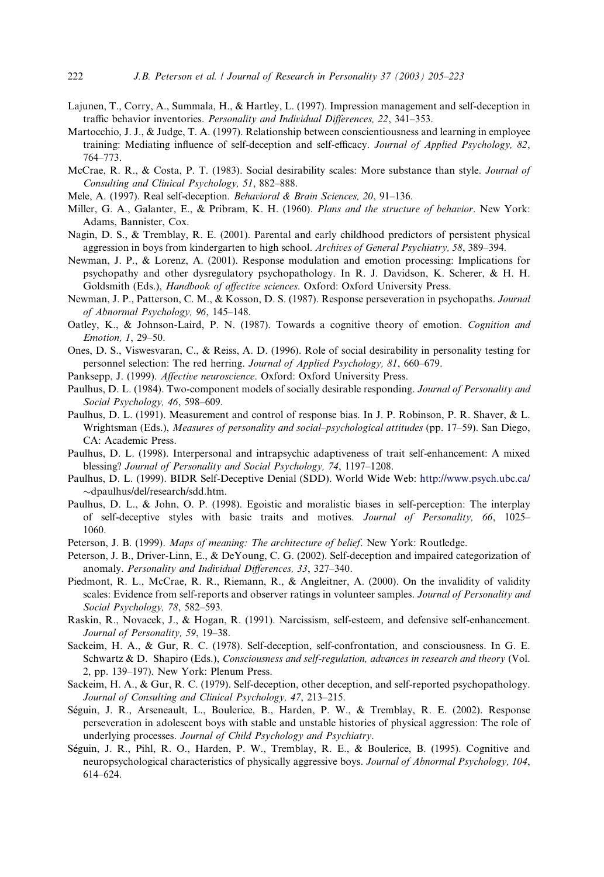- Lajunen, T., Corry, A., Summala, H., & Hartley, L. (1997). Impression management and self-deception in traffic behavior inventories. Personality and Individual Differences, 22, 341–353.
- Martocchio, J. J., & Judge, T. A. (1997). Relationship between conscientiousness and learning in employee training: Mediating influence of self-deception and self-efficacy. Journal of Applied Psychology, 82, 764–773.
- McCrae, R. R., & Costa, P. T. (1983). Social desirability scales: More substance than style. Journal of Consulting and Clinical Psychology, 51, 882–888.
- Mele, A. (1997). Real self-deception. Behavioral & Brain Sciences, 20, 91–136.
- Miller, G. A., Galanter, E., & Pribram, K. H. (1960). Plans and the structure of behavior. New York: Adams, Bannister, Cox.
- Nagin, D. S., & Tremblay, R. E. (2001). Parental and early childhood predictors of persistent physical aggression in boys from kindergarten to high school. Archives of General Psychiatry, 58, 389–394.
- Newman, J. P., & Lorenz, A. (2001). Response modulation and emotion processing: Implications for psychopathy and other dysregulatory psychopathology. In R. J. Davidson, K. Scherer, & H. H. Goldsmith (Eds.), Handbook of affective sciences. Oxford: Oxford University Press.
- Newman, J. P., Patterson, C. M., & Kosson, D. S. (1987). Response perseveration in psychopaths. Journal of Abnormal Psychology, 96, 145–148.
- Oatley, K., & Johnson-Laird, P. N. (1987). Towards a cognitive theory of emotion. Cognition and Emotion, 1, 29–50.
- Ones, D. S., Viswesvaran, C., & Reiss, A. D. (1996). Role of social desirability in personality testing for personnel selection: The red herring. Journal of Applied Psychology, 81, 660–679.
- Panksepp, J. (1999). Affective neuroscience. Oxford: Oxford University Press.
- Paulhus, D. L. (1984). Two-component models of socially desirable responding. Journal of Personality and Social Psychology, 46, 598–609.
- Paulhus, D. L. (1991). Measurement and control of response bias. In J. P. Robinson, P. R. Shaver, & L. Wrightsman (Eds.), Measures of personality and social–psychological attitudes (pp. 17–59). San Diego, CA: Academic Press.
- Paulhus, D. L. (1998). Interpersonal and intrapsychic adaptiveness of trait self-enhancement: A mixed blessing? Journal of Personality and Social Psychology, 74, 1197–1208.
- Paulhus, D. L. (1999). BIDR Self-Deceptive Denial (SDD). World Wide Web: [http://www.psych.ubc.ca/](http://www.psych.ubc.ca/~dpaulhus/del/research/sdd.htm)  $\sim$ [dpaulhus/del/research/sdd.htm.](http://www.psych.ubc.ca/~dpaulhus/del/research/sdd.htm)
- Paulhus, D. L., & John, O. P. (1998). Egoistic and moralistic biases in self-perception: The interplay of self-deceptive styles with basic traits and motives. Journal of Personality, 66, 1025– 1060.
- Peterson, J. B. (1999). Maps of meaning: The architecture of belief. New York: Routledge.
- Peterson, J. B., Driver-Linn, E., & DeYoung, C. G. (2002). Self-deception and impaired categorization of anomaly. Personality and Individual Differences, 33, 327–340.
- Piedmont, R. L., McCrae, R. R., Riemann, R., & Angleitner, A. (2000). On the invalidity of validity scales: Evidence from self-reports and observer ratings in volunteer samples. Journal of Personality and Social Psychology, 78, 582–593.
- Raskin, R., Novacek, J., & Hogan, R. (1991). Narcissism, self-esteem, and defensive self-enhancement. Journal of Personality, 59, 19–38.
- Sackeim, H. A., & Gur, R. C. (1978). Self-deception, self-confrontation, and consciousness. In G. E. Schwartz & D. Shapiro (Eds.), Consciousness and self-regulation, advances in research and theory (Vol. 2, pp. 139–197). New York: Plenum Press.
- Sackeim, H. A., & Gur, R. C. (1979). Self-deception, other deception, and self-reported psychopathology. Journal of Consulting and Clinical Psychology, 47, 213–215.
- Seguin, J. R., Arseneault, L., Boulerice, B., Harden, P. W., & Tremblay, R. E. (2002). Response perseveration in adolescent boys with stable and unstable histories of physical aggression: The role of underlying processes. Journal of Child Psychology and Psychiatry.
- Seguin, J. R., Pihl, R. O., Harden, P. W., Tremblay, R. E., & Boulerice, B. (1995). Cognitive and neuropsychological characteristics of physically aggressive boys. Journal of Abnormal Psychology, 104, 614–624.